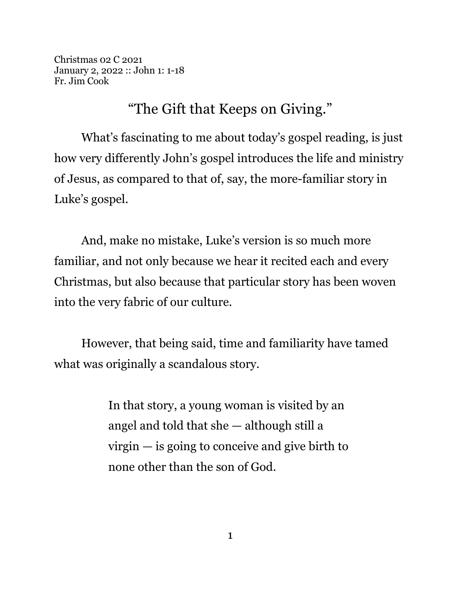Christmas 02 C 2021 January 2, 2022 :: John 1: 1-18 Fr. Jim Cook

"The Gift that Keeps on Giving."

What's fascinating to me about today's gospel reading, is just how very differently John's gospel introduces the life and ministry of Jesus, as compared to that of, say, the more-familiar story in Luke's gospel.

And, make no mistake, Luke's version is so much more familiar, and not only because we hear it recited each and every Christmas, but also because that particular story has been woven into the very fabric of our culture.

However, that being said, time and familiarity have tamed what was originally a scandalous story.

> In that story, a young woman is visited by an angel and told that she — although still a virgin — is going to conceive and give birth to none other than the son of God.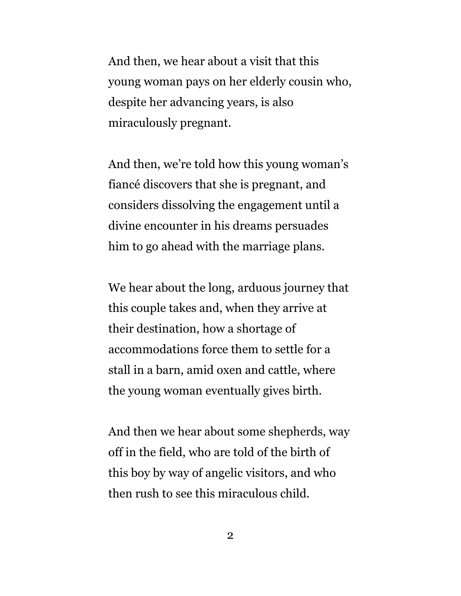And then, we hear about a visit that this young woman pays on her elderly cousin who, despite her advancing years, is also miraculously pregnant.

And then, we're told how this young woman's fiancé discovers that she is pregnant, and considers dissolving the engagement until a divine encounter in his dreams persuades him to go ahead with the marriage plans.

We hear about the long, arduous journey that this couple takes and, when they arrive at their destination, how a shortage of accommodations force them to settle for a stall in a barn, amid oxen and cattle, where the young woman eventually gives birth.

And then we hear about some shepherds, way off in the field, who are told of the birth of this boy by way of angelic visitors, and who then rush to see this miraculous child.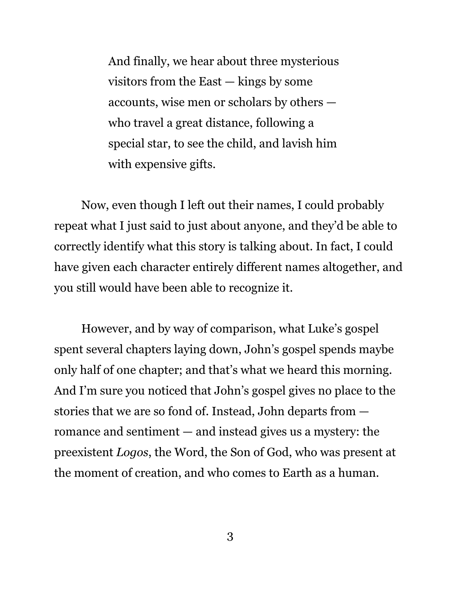And finally, we hear about three mysterious visitors from the East — kings by some accounts, wise men or scholars by others who travel a great distance, following a special star, to see the child, and lavish him with expensive gifts.

Now, even though I left out their names, I could probably repeat what I just said to just about anyone, and they'd be able to correctly identify what this story is talking about. In fact, I could have given each character entirely different names altogether, and you still would have been able to recognize it.

However, and by way of comparison, what Luke's gospel spent several chapters laying down, John's gospel spends maybe only half of one chapter; and that's what we heard this morning. And I'm sure you noticed that John's gospel gives no place to the stories that we are so fond of. Instead, John departs from romance and sentiment — and instead gives us a mystery: the preexistent *Logos*, the Word, the Son of God, who was present at the moment of creation, and who comes to Earth as a human.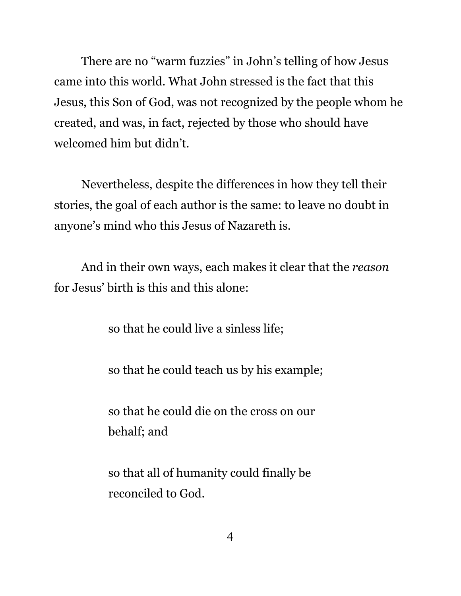There are no "warm fuzzies" in John's telling of how Jesus came into this world. What John stressed is the fact that this Jesus, this Son of God, was not recognized by the people whom he created, and was, in fact, rejected by those who should have welcomed him but didn't.

Nevertheless, despite the differences in how they tell their stories, the goal of each author is the same: to leave no doubt in anyone's mind who this Jesus of Nazareth is.

And in their own ways, each makes it clear that the *reason* for Jesus' birth is this and this alone:

so that he could live a sinless life;

so that he could teach us by his example;

so that he could die on the cross on our behalf; and

so that all of humanity could finally be reconciled to God.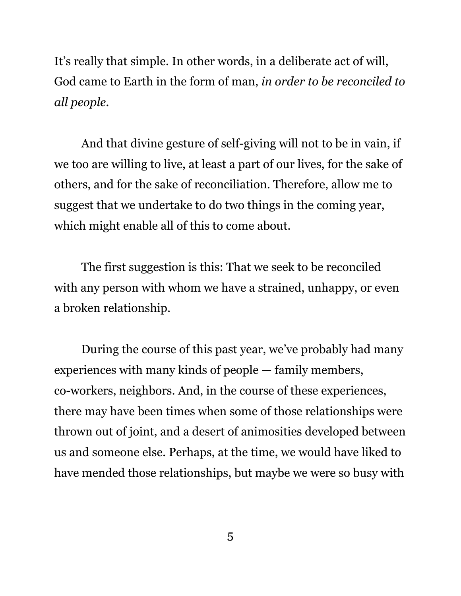It's really that simple. In other words, in a deliberate act of will, God came to Earth in the form of man, *in order to be reconciled to all people*.

And that divine gesture of self-giving will not to be in vain, if we too are willing to live, at least a part of our lives, for the sake of others, and for the sake of reconciliation. Therefore, allow me to suggest that we undertake to do two things in the coming year, which might enable all of this to come about.

The first suggestion is this: That we seek to be reconciled with any person with whom we have a strained, unhappy, or even a broken relationship.

During the course of this past year, we've probably had many experiences with many kinds of people — family members, co-workers, neighbors. And, in the course of these experiences, there may have been times when some of those relationships were thrown out of joint, and a desert of animosities developed between us and someone else. Perhaps, at the time, we would have liked to have mended those relationships, but maybe we were so busy with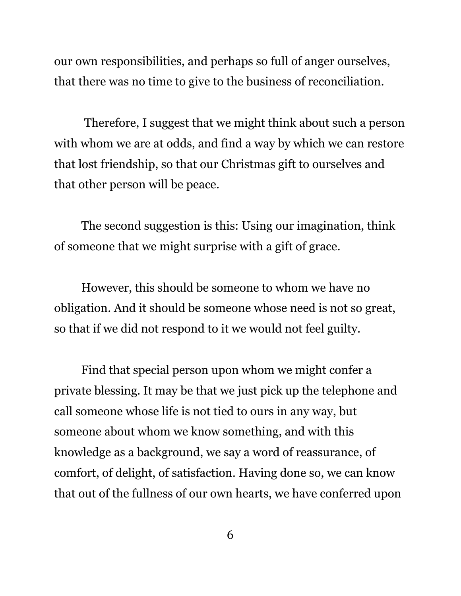our own responsibilities, and perhaps so full of anger ourselves, that there was no time to give to the business of reconciliation.

 Therefore, I suggest that we might think about such a person with whom we are at odds, and find a way by which we can restore that lost friendship, so that our Christmas gift to ourselves and that other person will be peace.

The second suggestion is this: Using our imagination, think of someone that we might surprise with a gift of grace.

However, this should be someone to whom we have no obligation. And it should be someone whose need is not so great, so that if we did not respond to it we would not feel guilty.

Find that special person upon whom we might confer a private blessing. It may be that we just pick up the telephone and call someone whose life is not tied to ours in any way, but someone about whom we know something, and with this knowledge as a background, we say a word of reassurance, of comfort, of delight, of satisfaction. Having done so, we can know that out of the fullness of our own hearts, we have conferred upon